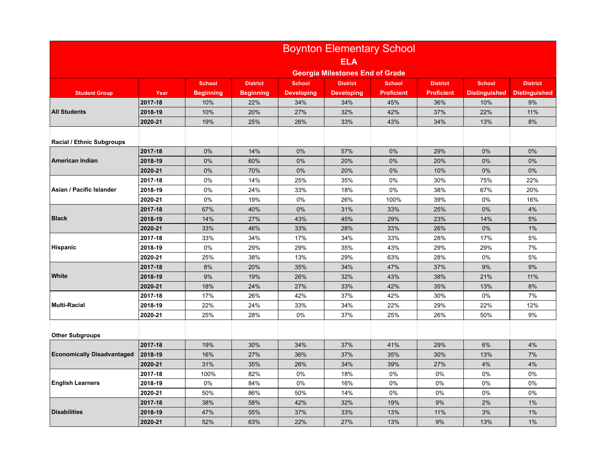|                                   | <b>Boynton Elementary School</b>       |                  |                  |                   |                   |                   |                   |                      |                      |
|-----------------------------------|----------------------------------------|------------------|------------------|-------------------|-------------------|-------------------|-------------------|----------------------|----------------------|
|                                   | <b>ELA</b>                             |                  |                  |                   |                   |                   |                   |                      |                      |
|                                   | <b>Georgia Milestones End of Grade</b> |                  |                  |                   |                   |                   |                   |                      |                      |
|                                   |                                        | <b>School</b>    | <b>District</b>  | <b>School</b>     | <b>District</b>   | <b>School</b>     | <b>District</b>   | <b>School</b>        | <b>District</b>      |
| <b>Student Group</b>              | Year                                   | <b>Beginning</b> | <b>Beginning</b> | <b>Developing</b> | <b>Developing</b> | <b>Proficient</b> | <b>Proficient</b> | <b>Distinguished</b> | <b>Distinguished</b> |
| <b>All Students</b>               | 2017-18                                | 10%              | 22%              | 34%               | 34%               | 45%               | 36%               | 10%                  | 9%                   |
|                                   | 2018-19                                | 10%              | 20%              | 27%               | 32%               | 42%               | 37%               | 22%                  | 11%                  |
|                                   | 2020-21                                | 19%              | 25%              | 26%               | 33%               | 43%               | 34%               | 13%                  | 8%                   |
| <b>Racial / Ethnic Subgroups</b>  |                                        |                  |                  |                   |                   |                   |                   |                      |                      |
|                                   | 2017-18                                | 0%               | 14%              | 0%                | 57%               | 0%                | 29%               | 0%                   | 0%                   |
| American Indian                   | 2018-19                                | 0%               | 60%              | 0%                | 20%               | 0%                | 20%               | $0\%$                | 0%                   |
|                                   | 2020-21                                | 0%               | 70%              | 0%                | 20%               | 0%                | 10%               | $0\%$                | 0%                   |
|                                   | 2017-18                                | 0%               | 14%              | 25%               | 35%               | 0%                | 30%               | 75%                  | 22%                  |
| Asian / Pacific Islander          | 2018-19                                | 0%               | 24%              | 33%               | 18%               | 0%                | 38%               | 67%                  | 20%                  |
|                                   | 2020-21                                | 0%               | 19%              | 0%                | 26%               | 100%              | 39%               | 0%                   | 16%                  |
|                                   | 2017-18                                | 67%              | 40%              | 0%                | 31%               | 33%               | 25%               | 0%                   | 4%                   |
| <b>Black</b>                      | 2018-19                                | 14%              | 27%              | 43%               | 45%               | 29%               | 23%               | 14%                  | 5%                   |
|                                   | 2020-21                                | 33%              | 46%              | 33%               | 28%               | 33%               | 26%               | 0%                   | 1%                   |
|                                   | 2017-18                                | 33%              | 34%              | 17%               | 34%               | 33%               | 28%               | 17%                  | 5%                   |
| <b>Hispanic</b>                   | 2018-19                                | 0%               | 29%              | 29%               | 35%               | 43%               | 29%               | 29%                  | 7%                   |
|                                   | 2020-21                                | 25%              | 38%              | 13%               | 29%               | 63%               | 28%               | 0%                   | 5%                   |
| White                             | 2017-18                                | 8%               | 20%              | 35%               | 34%               | 47%               | 37%               | 9%                   | 9%                   |
|                                   | 2018-19                                | 9%               | 19%              | 26%               | 32%               | 43%               | 38%               | 21%                  | 11%                  |
|                                   | 2020-21                                | 18%              | 24%              | 27%               | 33%               | 42%               | 35%               | 13%                  | 8%                   |
|                                   | 2017-18                                | 17%              | 26%              | 42%               | 37%               | 42%               | 30%               | 0%                   | 7%                   |
| <b>Multi-Racial</b>               | 2018-19                                | 22%              | 24%              | 33%               | 34%               | 22%               | 29%               | 22%                  | 12%                  |
|                                   | 2020-21                                | 25%              | 28%              | 0%                | 37%               | 25%               | 26%               | 50%                  | 9%                   |
| <b>Other Subgroups</b>            |                                        |                  |                  |                   |                   |                   |                   |                      |                      |
|                                   | 2017-18                                | 19%              | 30%              | 34%               | 37%               | 41%               | 29%               | 6%                   | 4%                   |
| <b>Economically Disadvantaged</b> | 2018-19                                | 16%              | 27%              | 36%               | 37%               | 35%               | 30%               | 13%                  | 7%                   |
|                                   | 2020-21                                | 31%              | 35%              | 26%               | 34%               | 39%               | 27%               | 4%                   | 4%                   |
| <b>English Learners</b>           | 2017-18                                | 100%             | 82%              | 0%                | 18%               | 0%                | 0%                | 0%                   | 0%                   |
|                                   | 2018-19                                | 0%               | 84%              | 0%                | 16%               | 0%                | 0%                | 0%                   | 0%                   |
|                                   | 2020-21                                | 50%              | 86%              | 50%               | 14%               | 0%                | 0%                | 0%                   | 0%                   |
|                                   | 2017-18                                | 38%              | 58%              | 42%               | 32%               | 19%               | 9%                | 2%                   | 1%                   |
| <b>Disabilities</b>               | 2018-19                                | 47%              | 55%              | 37%               | 33%               | 13%               | 11%               | 3%                   | 1%                   |
|                                   | 2020-21                                | 52%              | 63%              | 22%               | 27%               | 13%               | 9%                | 13%                  | 1%                   |